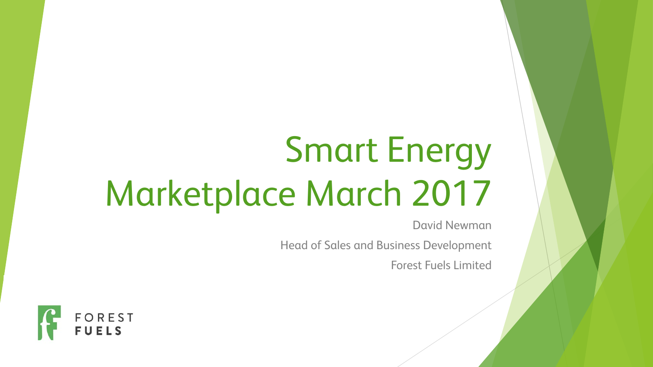# Smart Energy Marketplace March 2017

David Newman

Head of Sales and Business Development

Forest Fuels Limited

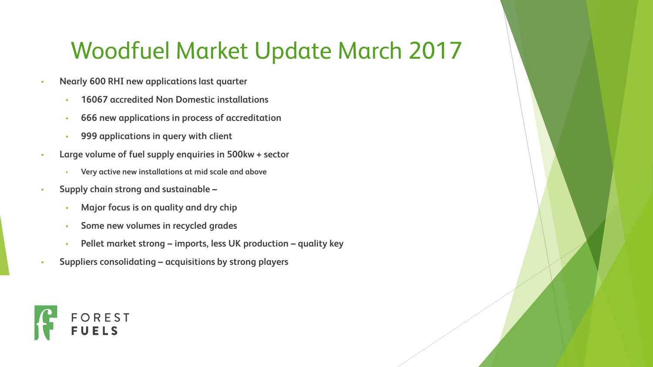#### Woodfuel Market Update March 2017

- **Nearly 600 RHI new applications last quarter**
	- **16067 accredited Non Domestic installations**
	- **666 new applications in process of accreditation**
	- **999 applications in query with client**
- **Large volume of fuel supply enquiries in 500kw + sector**
	- **Very active new installations at mid scale and above**
- **Supply chain strong and sustainable –**
	- **Major focus is on quality and dry chip**
	- **Some new volumes in recycled grades**
	- **Pellet market strong – imports, less UK production – quality key**
- **Suppliers consolidating – acquisitions by strong players**

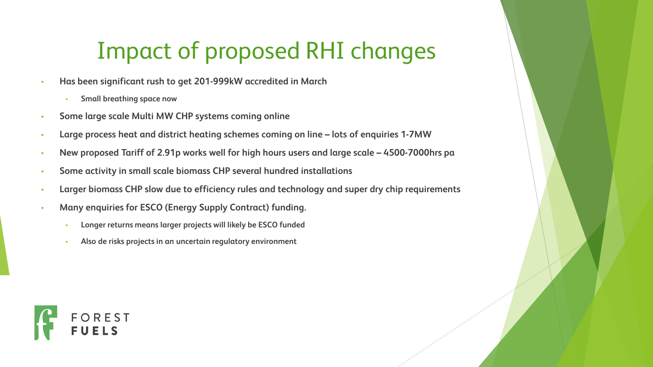## Impact of proposed RHI changes

- **Has been significant rush to get 201-999kW accredited in March**
	- **Small breathing space now**
- **Some large scale Multi MW CHP systems coming online**
- **Large process heat and district heating schemes coming on line – lots of enquiries 1-7MW**
- **New proposed Tariff of 2.91p works well for high hours users and large scale – 4500-7000hrs pa**
- **Some activity in small scale biomass CHP several hundred installations**
- **Larger biomass CHP slow due to efficiency rules and technology and super dry chip requirements**
- **Many enquiries for ESCO (Energy Supply Contract) funding.**
	- **Longer returns means larger projects will likely be ESCO funded**
	- **Also de risks projects in an uncertain regulatory environment**